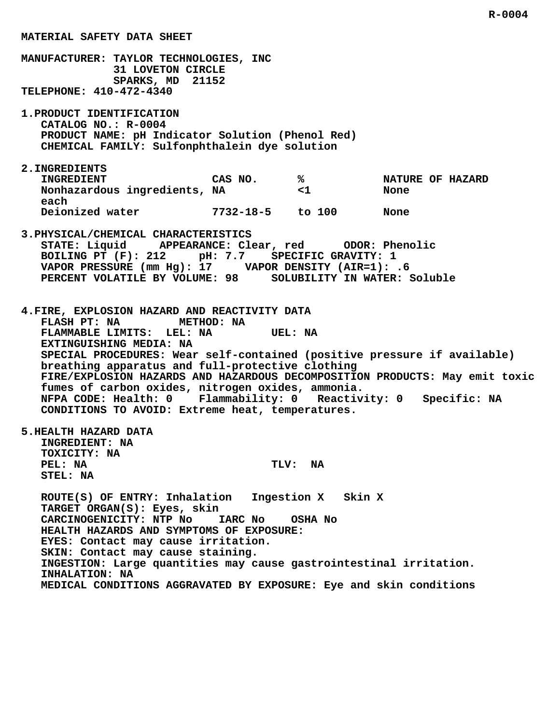**MATERIAL SAFETY DATA SHEET MANUFACTURER: TAYLOR TECHNOLOGIES, INC 31 LOVETON CIRCLE SPARKS, MD 21152 TELEPHONE: 410-472-4340 1.PRODUCT IDENTIFICATION CATALOG NO.: R-0004 PRODUCT NAME: pH Indicator Solution (Phenol Red) CHEMICAL FAMILY: Sulfonphthalein dye solution 2.INGREDIENTS INGREDIENT CAS NO.**  $\frac{1}{8}$  NATURE OF HAZARD  **Nonhazardous ingredients, NA <1 None each Deionized water 7732-18-5 to 100 None 3.PHYSICAL/CHEMICAL CHARACTERISTICS STATE: Liquid APPEARANCE: Clear, red ODOR: Phenolic BOILING PT (F): 212 pH: 7.7 SPECIFIC GRAVITY: 1 VAPOR PRESSURE (mm Hg): 17 VAPOR DENSITY (AIR=1): .6 PERCENT VOLATILE BY VOLUME: 98 SOLUBILITY IN WATER: Soluble 4.FIRE, EXPLOSION HAZARD AND REACTIVITY DATA FLASH PT: NA METHOD: NA FLAMMABLE LIMITS: LEL: NA UEL: NA EXTINGUISHING MEDIA: NA SPECIAL PROCEDURES: Wear self-contained (positive pressure if available) breathing apparatus and full-protective clothing FIRE/EXPLOSION HAZARDS AND HAZARDOUS DECOMPOSITION PRODUCTS: May emit toxic fumes of carbon oxides, nitrogen oxides, ammonia. NFPA CODE: Health: 0 Flammability: 0 Reactivity: 0 Specific: NA CONDITIONS TO AVOID: Extreme heat, temperatures. 5.HEALTH HAZARD DATA INGREDIENT: NA TOXICITY: NA** PEL: NA TLV: NA  **STEL: NA ROUTE(S) OF ENTRY: Inhalation Ingestion X Skin X TARGET ORGAN(S): Eyes, skin CARCINOGENICITY: NTP No IARC No OSHA No HEALTH HAZARDS AND SYMPTOMS OF EXPOSURE: EYES: Contact may cause irritation.**

 **SKIN: Contact may cause staining.**

 **INGESTION: Large quantities may cause gastrointestinal irritation. INHALATION: NA**

 **MEDICAL CONDITIONS AGGRAVATED BY EXPOSURE: Eye and skin conditions**